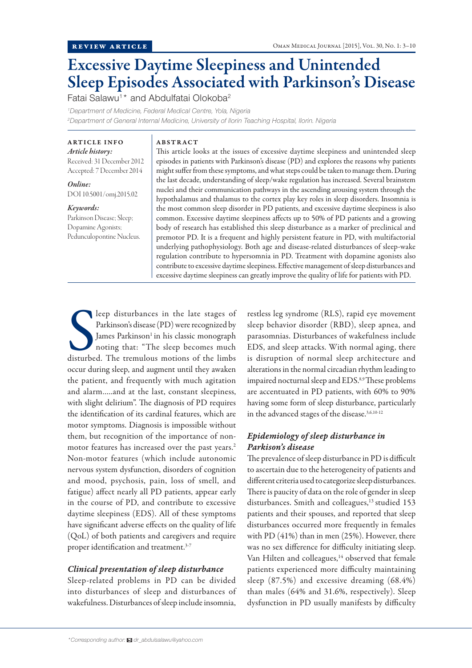# Excessive Daytime Sleepiness and Unintended Sleep Episodes Associated with Parkinson's Disease

Fatai Salawu<sup>1</sup>\* and Abdulfatai Olokoba<sup>2</sup>

*1 Department of Medicine, Federal Medical Centre, Yola, Nigeria*

*2 Department of General Internal Medicine, University of Ilorin Teaching Hospital, Ilorin. Nigeria*

ARTICLE INFO *Article history:*  Received: 31 December 2012 Accepted: 7 December 2014

*Online:* DOI 10.5001/omj.2015.02

#### *Keywords:*

Parkinson Disease; Sleep; Dopamine Agonists; Pedunculopontine Nucleus.

## ABSTRACT

This article looks at the issues of excessive daytime sleepiness and unintended sleep episodes in patients with Parkinson's disease (PD) and explores the reasons why patients might suffer from these symptoms, and what steps could be taken to manage them. During the last decade, understanding of sleep/wake regulation has increased. Several brainstem nuclei and their communication pathways in the ascending arousing system through the hypothalamus and thalamus to the cortex play key roles in sleep disorders. Insomnia is the most common sleep disorder in PD patients, and excessive daytime sleepiness is also common. Excessive daytime sleepiness affects up to 50% of PD patients and a growing body of research has established this sleep disturbance as a marker of preclinical and premotor PD. It is a frequent and highly persistent feature in PD, with multifactorial underlying pathophysiology. Both age and disease-related disturbances of sleep-wake regulation contribute to hypersomnia in PD. Treatment with dopamine agonists also contribute to excessive daytime sleepiness. Effective management of sleep disturbances and excessive daytime sleepiness can greatly improve the quality of life for patients with PD.

leep disturbances in the late stages of<br>Parkinson's disease (PD) were recognized by<br>James Parkinson' in his classic monograph<br>noting that: "The sleep becomes much<br>disturbed. The tremulous motions of the limbs leep disturbances in the late stages of Parkinson's disease (PD) were recognized by James Parkinson<sup>1</sup> in his classic monograph noting that: "The sleep becomes much occur during sleep, and augment until they awaken the patient, and frequently with much agitation and alarm…..and at the last, constant sleepiness, with slight delirium". The diagnosis of PD requires the identification of its cardinal features, which are motor symptoms. Diagnosis is impossible without them, but recognition of the importance of nonmotor features has increased over the past years.<sup>2</sup> Non-motor features (which include autonomic nervous system dysfunction, disorders of cognition and mood, psychosis, pain, loss of smell, and fatigue) affect nearly all PD patients, appear early in the course of PD, and contribute to excessive daytime sleepiness (EDS). All of these symptoms have significant adverse effects on the quality of life (QoL) of both patients and caregivers and require proper identification and treatment.<sup>3-7</sup>

## *Clinical presentation of sleep disturbance*

Sleep-related problems in PD can be divided into disturbances of sleep and disturbances of wakefulness. Disturbances of sleep include insomnia,

restless leg syndrome (RLS), rapid eye movement sleep behavior disorder (RBD), sleep apnea, and parasomnias. Disturbances of wakefulness include EDS, and sleep attacks. With normal aging, there is disruption of normal sleep architecture and alterations in the normal circadian rhythm leading to impaired nocturnal sleep and EDS.<sup>8,9</sup>These problems are accentuated in PD patients, with 60% to 90% having some form of sleep disturbance, particularly in the advanced stages of the disease.3,6,10-12

# *Epidemiology of sleep disturbance in Parkison's disease*

The prevalence of sleep disturbance in PD is difficult to ascertain due to the heterogeneity of patients and different criteria used to categorize sleep disturbances. There is paucity of data on the role of gender in sleep disturbances. Smith and colleagues,<sup>13</sup> studied 153 patients and their spouses, and reported that sleep disturbances occurred more frequently in females with PD (41%) than in men (25%). However, there was no sex difference for difficulty initiating sleep. Van Hilten and colleagues,<sup>14</sup> observed that female patients experienced more difficulty maintaining sleep (87.5%) and excessive dreaming (68.4%) than males (64% and 31.6%, respectively). Sleep dysfunction in PD usually manifests by difficulty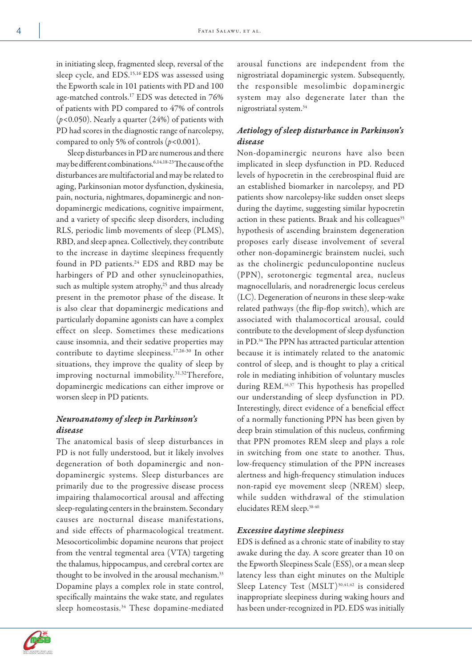in initiating sleep, fragmented sleep, reversal of the sleep cycle, and EDS.15,16 EDS was assessed using the Epworth scale in 101 patients with PD and 100 age-matched controls.17 EDS was detected in 76% of patients with PD compared to 47% of controls (*p<*0.050). Nearly a quarter (24%) of patients with PD had scores in the diagnostic range of narcolepsy, compared to only 5% of controls (*p<*0.001).

Sleep disturbances in PD are numerous and there may be different combinations.6,14,18-23 The cause of the disturbances are multifactorial and may be related to aging, Parkinsonian motor dysfunction, dyskinesia, pain, nocturia, nightmares, dopaminergic and nondopaminergic medications, cognitive impairment, and a variety of specific sleep disorders, including RLS, periodic limb movements of sleep (PLMS), RBD, and sleep apnea. Collectively, they contribute to the increase in daytime sleepiness frequently found in PD patients.<sup>24</sup> EDS and RBD may be harbingers of PD and other synucleinopathies, such as multiple system atrophy,<sup>25</sup> and thus already present in the premotor phase of the disease. It is also clear that dopaminergic medications and particularly dopamine agonists can have a complex effect on sleep. Sometimes these medications cause insomnia, and their sedative properties may contribute to daytime sleepiness.17,26-30 In other situations, they improve the quality of sleep by improving nocturnal immobility.<sup>31,32</sup>Therefore, dopaminergic medications can either improve or worsen sleep in PD patients.

# *Neuroanatomy of sleep in Parkinson's disease*

The anatomical basis of sleep disturbances in PD is not fully understood, but it likely involves degeneration of both dopaminergic and nondopaminergic systems. Sleep disturbances are primarily due to the progressive disease process impairing thalamocortical arousal and affecting sleep-regulating centers in the brainstem. Secondary causes are nocturnal disease manifestations, and side effects of pharmacological treatment. Mesocorticolimbic dopamine neurons that project from the ventral tegmental area (VTA) targeting the thalamus, hippocampus, and cerebral cortex are thought to be involved in the arousal mechanism.<sup>33</sup> Dopamine plays a complex role in state control, specifically maintains the wake state, and regulates sleep homeostasis.34 These dopamine-mediated

arousal functions are independent from the nigrostriatal dopaminergic system. Subsequently, the responsible mesolimbic dopaminergic system may also degenerate later than the nigrostriatal system.34

# *Aetiology of sleep disturbance in Parkinson's disease*

Non-dopaminergic neurons have also been implicated in sleep dysfunction in PD. Reduced levels of hypocretin in the cerebrospinal fluid are an established biomarker in narcolepsy, and PD patients show narcolepsy-like sudden onset sleeps during the daytime, suggesting similar hypocretin action in these patients. Braak and his colleagues<sup>35</sup> hypothesis of ascending brainstem degeneration proposes early disease involvement of several other non-dopaminergic brainstem nuclei, such as the cholinergic pedunculopontine nucleus (PPN), serotonergic tegmental area, nucleus magnocellularis, and noradrenergic locus cereleus (LC). Degeneration of neurons in these sleep-wake related pathways (the flip-flop switch), which are associated with thalamocortical arousal, could contribute to the development of sleep dysfunction in PD.36 The PPN has attracted particular attention because it is intimately related to the anatomic control of sleep, and is thought to play a critical role in mediating inhibition of voluntary muscles during REM.16,37 This hypothesis has propelled our understanding of sleep dysfunction in PD. Interestingly, direct evidence of a beneficial effect of a normally functioning PPN has been given by deep brain stimulation of this nucleus, confirming that PPN promotes REM sleep and plays a role in switching from one state to another. Thus, low-frequency stimulation of the PPN increases alertness and high-frequency stimulation induces non-rapid eye movement sleep (NREM) sleep, while sudden withdrawal of the stimulation elucidates REM sleep.38-40

## *Excessive daytime sleepiness*

EDS is defined as a chronic state of inability to stay awake during the day. A score greater than 10 on the Epworth Sleepiness Scale (ESS), or a mean sleep latency less than eight minutes on the Multiple Sleep Latency Test (MSLT)<sup>30,41,42</sup> is considered inappropriate sleepiness during waking hours and has been under-recognized in PD. EDS was initially

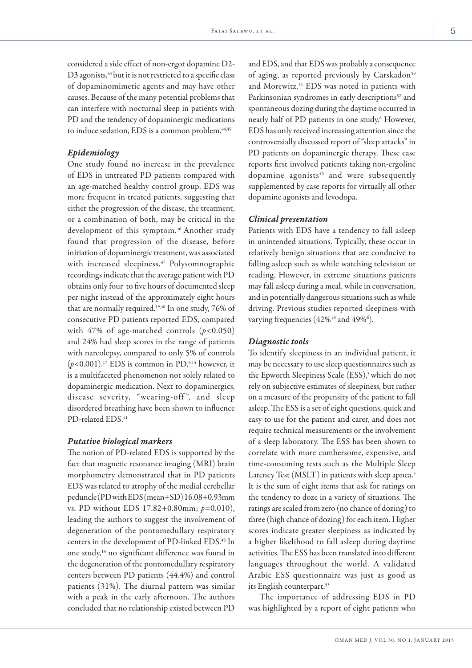considered a side effect of non-ergot dopamine D2- D3 agonists,<sup>43</sup> but it is not restricted to a specific class of dopaminomimetic agents and may have other causes. Because of the many potential problems that can interfere with nocturnal sleep in patients with PD and the tendency of dopaminergic medications to induce sedation, EDS is a common problem.<sup>44,45</sup>

#### *Epidemiology*

One study found no increase in the prevalence of EDS in untreated PD patients compared with an age-matched healthy control group. EDS was more frequent in treated patients, suggesting that either the progression of the disease, the treatment, or a combination of both, may be critical in the development of this symptom.<sup>46</sup> Another study found that progression of the disease, before initiation of dopaminergic treatment, was associated with increased sleepiness.<sup>47</sup> Polysomnographic recordings indicate that the average patient with PD obtains only four to five hours of documented sleep per night instead of the approximately eight hours that are normally required.19,48 In one study, 76% of consecutive PD patients reported EDS, compared with 47% of age-matched controls (*p<*0.050) and 24% had sleep scores in the range of patients with narcolepsy, compared to only 5% of controls (*p<*0.001).17 EDS is common in PD,6,14 however, it is a multifaceted phenomenon not solely related to dopaminergic medication. Next to dopaminergics, disease severity, "wearing-off", and sleep disordered breathing have been shown to influence PD-related EDS.<sup>41</sup>

#### *Putative biological markers*

The notion of PD-related EDS is supported by the fact that magnetic resonance imaging (MRI) brain morphometry demonstrated that in PD patients EDS was related to atrophy of the medial cerebellar peduncle (PD with EDS (mean+SD) 16.08+0.93mm vs. PD without EDS 17.82+0.80mm; *p=*0.010), leading the authors to suggest the involvement of degeneration of the pontomedullary respiratory centers in the development of PD-linked EDS.<sup>49</sup> In one study,14 no significant difference was found in the degeneration of the pontomedullary respiratory centers between PD patients (44.4%) and control patients (31%). The diurnal pattern was similar with a peak in the early afternoon. The authors concluded that no relationship existed between PD and EDS, and that EDS was probably a consequence of aging, as reported previously by Carskadon<sup>50</sup> and Morewitz.<sup>51</sup> EDS was noted in patients with Parkinsonian syndromes in early descriptions<sup>52</sup> and spontaneous dozing during the daytime occurred in nearly half of PD patients in one study.<sup>6</sup> However, EDS has only received increasing attention since the controversially discussed report of "sleep attacks" in PD patients on dopaminergic therapy. These case reports first involved patients taking non-ergoline dopamine agonists $43$  and were subsequently supplemented by case reports for virtually all other dopamine agonists and levodopa.

#### *Clinical presentation*

Patients with EDS have a tendency to fall asleep in unintended situations. Typically, these occur in relatively benign situations that are conducive to falling asleep such as while watching television or reading. However, in extreme situations patients may fall asleep during a meal, while in conversation, and in potentially dangerous situations such as while driving. Previous studies reported sleepiness with varying frequencies (42%<sup>14</sup> and 49%<sup>6</sup>).

## *Diagnostic tools*

To identify sleepiness in an individual patient, it may be necessary to use sleep questionnaires such as the Epworth Sleepiness Scale (ESS),<sup>5</sup> which do not rely on subjective estimates of sleepiness, but rather on a measure of the propensity of the patient to fall asleep. The ESS is a set of eight questions, quick and easy to use for the patient and carer, and does not require technical measurements or the involvement of a sleep laboratory. The ESS has been shown to correlate with more cumbersome, expensive, and time-consuming tests such as the Multiple Sleep Latency Test (MSLT) in patients with sleep apnea.<sup>5</sup> It is the sum of eight items that ask for ratings on the tendency to doze in a variety of situations. The ratings are scaled from zero (no chance of dozing) to three (high chance of dozing) for each item. Higher scores indicate greater sleepiness as indicated by a higher likelihood to fall asleep during daytime activities. The ESS has been translated into different languages throughout the world. A validated Arabic ESS questionnaire was just as good as its English counterpart.<sup>53</sup>

The importance of addressing EDS in PD was highlighted by a report of eight patients who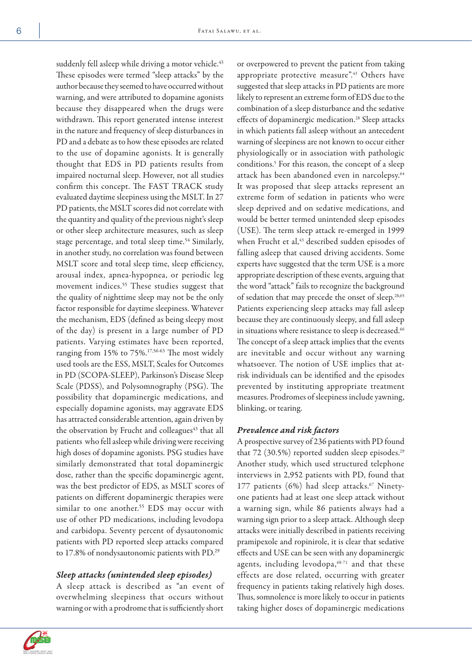suddenly fell asleep while driving a motor vehicle.<sup>43</sup> These episodes were termed "sleep attacks" by the author because they seemed to have occurred without warning, and were attributed to dopamine agonists because they disappeared when the drugs were withdrawn. This report generated intense interest in the nature and frequency of sleep disturbances in PD and a debate as to how these episodes are related to the use of dopamine agonists. It is generally thought that EDS in PD patients results from impaired nocturnal sleep. However, not all studies confirm this concept. The FAST TRACK study evaluated daytime sleepiness using the MSLT. In 27 PD patients, the MSLT scores did not correlate with the quantity and quality of the previous night's sleep or other sleep architecture measures, such as sleep stage percentage, and total sleep time.<sup>54</sup> Similarly, in another study, no correlation was found between MSLT score and total sleep time, sleep efficiency, arousal index, apnea-hypopnea, or periodic leg movement indices.<sup>55</sup> These studies suggest that the quality of nighttime sleep may not be the only factor responsible for daytime sleepiness. Whatever the mechanism, EDS (defined as being sleepy most of the day) is present in a large number of PD patients. Varying estimates have been reported, ranging from 15% to 75%.17,56-63 The most widely used tools are the ESS, MSLT, Scales for Outcomes in PD (SCOPA-SLEEP), Parkinson's Disease Sleep Scale (PDSS), and Polysomnography (PSG). The possibility that dopaminergic medications, and especially dopamine agonists, may aggravate EDS has attracted considerable attention, again driven by the observation by Frucht and colleagues<sup>43</sup> that all patients who fell asleep while driving were receiving high doses of dopamine agonists. PSG studies have similarly demonstrated that total dopaminergic dose, rather than the specific dopaminergic agent, was the best predictor of EDS, as MSLT scores of patients on different dopaminergic therapies were similar to one another.<sup>55</sup> EDS may occur with use of other PD medications, including levodopa and carbidopa. Seventy percent of dysautonomic patients with PD reported sleep attacks compared to 17.8% of nondysautonomic patients with PD.29

## *Sleep attacks (unintended sleep episodes)*

A sleep attack is described as "an event of overwhelming sleepiness that occurs without warning or with a prodrome that is sufficiently short

or overpowered to prevent the patient from taking appropriate protective measure".<sup>43</sup> Others have suggested that sleep attacks in PD patients are more likely to represent an extreme form of EDS due to the combination of a sleep disturbance and the sedative effects of dopaminergic medication.<sup>28</sup> Sleep attacks in which patients fall asleep without an antecedent warning of sleepiness are not known to occur either physiologically or in association with pathologic conditions.5 For this reason, the concept of a sleep attack has been abandoned even in narcolepsy.64 It was proposed that sleep attacks represent an extreme form of sedation in patients who were sleep deprived and on sedative medications, and would be better termed unintended sleep episodes (USE). The term sleep attack re-emerged in 1999 when Frucht et al,<sup>43</sup> described sudden episodes of falling asleep that caused driving accidents. Some experts have suggested that the term USE is a more appropriate description of these events, arguing that the word "attack" fails to recognize the background of sedation that may precede the onset of sleep.28,65 Patients experiencing sleep attacks may fall asleep because they are continuously sleepy, and fall asleep in situations where resistance to sleep is decreased.<sup>66</sup> The concept of a sleep attack implies that the events are inevitable and occur without any warning whatsoever. The notion of USE implies that atrisk individuals can be identified and the episodes prevented by instituting appropriate treatment measures. Prodromes of sleepiness include yawning, blinking, or tearing.

## *Prevalence and risk factors*

A prospective survey of 236 patients with PD found that  $72$  (30.5%) reported sudden sleep episodes.<sup>29</sup> Another study, which used structured telephone interviews in 2,952 patients with PD, found that 177 patients  $(6%)$  had sleep attacks.<sup>67</sup> Ninetyone patients had at least one sleep attack without a warning sign, while 86 patients always had a warning sign prior to a sleep attack. Although sleep attacks were initially described in patients receiving pramipexole and ropinirole, it is clear that sedative effects and USE can be seen with any dopaminergic agents, including levodopa,<sup>68-71</sup> and that these effects are dose related, occurring with greater frequency in patients taking relatively high doses. Thus, somnolence is more likely to occur in patients taking higher doses of dopaminergic medications

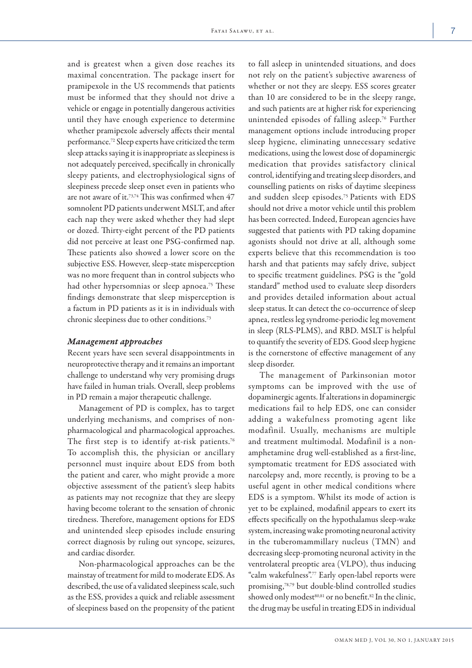and is greatest when a given dose reaches its maximal concentration. The package insert for pramipexole in the US recommends that patients must be informed that they should not drive a vehicle or engage in potentially dangerous activities until they have enough experience to determine whether pramipexole adversely affects their mental performance.72 Sleep experts have criticized the term sleep attacks saying it is inappropriate as sleepiness is not adequately perceived, specifically in chronically sleepy patients, and electrophysiological signs of sleepiness precede sleep onset even in patients who are not aware of it.73,74 This was confirmed when 47 somnolent PD patients underwent MSLT, and after each nap they were asked whether they had slept or dozed. Thirty-eight percent of the PD patients did not perceive at least one PSG-confirmed nap. These patients also showed a lower score on the subjective ESS. However, sleep-state misperception was no more frequent than in control subjects who had other hypersomnias or sleep apnoea.<sup>75</sup> These findings demonstrate that sleep misperception is a factum in PD patients as it is in individuals with chronic sleepiness due to other conditions.73

#### *Management approaches*

Recent years have seen several disappointments in neuroprotective therapy and it remains an important challenge to understand why very promising drugs have failed in human trials. Overall, sleep problems in PD remain a major therapeutic challenge.

Management of PD is complex, has to target underlying mechanisms, and comprises of nonpharmacological and pharmacological approaches. The first step is to identify at-risk patients.<sup>76</sup> To accomplish this, the physician or ancillary personnel must inquire about EDS from both the patient and carer, who might provide a more objective assessment of the patient's sleep habits as patients may not recognize that they are sleepy having become tolerant to the sensation of chronic tiredness. Therefore, management options for EDS and unintended sleep episodes include ensuring correct diagnosis by ruling out syncope, seizures, and cardiac disorder.

Non-pharmacological approaches can be the mainstay of treatment for mild to moderate EDS. As described, the use of a validated sleepiness scale, such as the ESS, provides a quick and reliable assessment of sleepiness based on the propensity of the patient

to fall asleep in unintended situations, and does not rely on the patient's subjective awareness of whether or not they are sleepy. ESS scores greater than 10 are considered to be in the sleepy range, and such patients are at higher risk for experiencing unintended episodes of falling asleep.76 Further management options include introducing proper sleep hygiene, eliminating unnecessary sedative medications, using the lowest dose of dopaminergic medication that provides satisfactory clinical control, identifying and treating sleep disorders, and counselling patients on risks of daytime sleepiness and sudden sleep episodes.75 Patients with EDS should not drive a motor vehicle until this problem has been corrected. Indeed, European agencies have suggested that patients with PD taking dopamine agonists should not drive at all, although some experts believe that this recommendation is too harsh and that patients may safely drive, subject to specific treatment guidelines. PSG is the "gold standard" method used to evaluate sleep disorders and provides detailed information about actual sleep status. It can detect the co-occurrence of sleep apnea, restless leg syndrome-periodic leg movement in sleep (RLS-PLMS), and RBD. MSLT is helpful to quantify the severity of EDS. Good sleep hygiene is the cornerstone of effective management of any sleep disorder.

The management of Parkinsonian motor symptoms can be improved with the use of dopaminergic agents. If alterations in dopaminergic medications fail to help EDS, one can consider adding a wakefulness promoting agent like modafinil. Usually, mechanisms are multiple and treatment multimodal. Modafinil is a nonamphetamine drug well-established as a first-line, symptomatic treatment for EDS associated with narcolepsy and, more recently, is proving to be a useful agent in other medical conditions where EDS is a symptom. Whilst its mode of action is yet to be explained, modafinil appears to exert its effects specifically on the hypothalamus sleep-wake system, increasing wake promoting neuronal activity in the tuberomammillary nucleus (TMN) and decreasing sleep-promoting neuronal activity in the ventrolateral preoptic area (VLPO), thus inducing "calm wakefulness".77 Early open-label reports were promising,78,79 but double-blind controlled studies showed only modest<sup>80,81</sup> or no benefit.<sup>82</sup> In the clinic, the drug may be useful in treating EDS in individual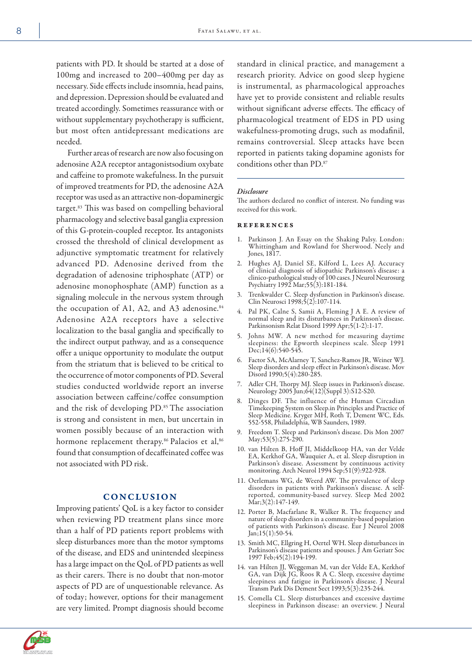patients with PD. It should be started at a dose of 100mg and increased to 200–400mg per day as necessary. Side effects include insomnia, head pains, and depression. Depression should be evaluated and treated accordingly. Sometimes reassurance with or without supplementary psychotherapy is sufficient, but most often antidepressant medications are needed.

Further areas of research are now also focusing on adenosine A2A receptor antagonistsodium oxybate and caffeine to promote wakefulness. In the pursuit of improved treatments for PD, the adenosine A2A receptor was used as an attractive non-dopaminergic target.83 This was based on compelling behavioral pharmacology and selective basal ganglia expression of this G-protein-coupled receptor. Its antagonists crossed the threshold of clinical development as adjunctive symptomatic treatment for relatively advanced PD. Adenosine derived from the degradation of adenosine triphosphate (ATP) or adenosine monophosphate (AMP) function as a signaling molecule in the nervous system through the occupation of A1, A2, and A3 adenosine.<sup>84</sup> Adenosine A2A receptors have a selective localization to the basal ganglia and specifically to the indirect output pathway, and as a consequence offer a unique opportunity to modulate the output from the striatum that is believed to be critical to the occurrence of motor components of PD. Several studies conducted worldwide report an inverse association between caffeine/coffee consumption and the risk of developing PD.85 The association is strong and consistent in men, but uncertain in women possibly because of an interaction with hormone replacement therapy.<sup>86</sup> Palacios et al,<sup>86</sup> found that consumption of decaffeinated coffee was not associated with PD risk.

## **CONCLUSION**

Improving patients' QoL is a key factor to consider when reviewing PD treatment plans since more than a half of PD patients report problems with sleep disturbances more than the motor symptoms of the disease, and EDS and unintended sleepiness has a large impact on the QoL of PD patients as well as their carers. There is no doubt that non-motor aspects of PD are of unquestionable relevance. As of today; however, options for their management are very limited. Prompt diagnosis should become

standard in clinical practice, and management a research priority. Advice on good sleep hygiene is instrumental, as pharmacological approaches have yet to provide consistent and reliable results without significant adverse effects. The efficacy of pharmacological treatment of EDS in PD using wakefulness-promoting drugs, such as modafinil, remains controversial. Sleep attacks have been reported in patients taking dopamine agonists for conditions other than PD.87

#### *Disclosure*

The authors declared no conflict of interest. No funding was received for this work.

#### references

- 1. Parkinson J. An Essay on the Shaking Palsy. London: Whittingham and Rowland for Sherwood. Neely and Jones, 1817.
- 2. Hughes AJ, Daniel SE, Kilford L, Lees AJ. Accuracy of clinical diagnosis of idiopathic Parkinson's disease: a clinico-pathological study of 100 cases. J Neurol Neurosurg Psychiatry 1992 Mar;55(3):181-184.
- 3. Trenkwalder C. Sleep dysfunction in Parkinson's disease. Clin Neurosci 1998;5(2):107-114.
- 4. Pal PK, Calne S, Samii A, Fleming J A E. A review of normal sleep and its disturbances in Parkinson's disease. Parkinsonism Relat Disord 1999 Apr;5(1-2):1-17.
- 5. Johns MW. A new method for measuring daytime sleepiness: the Epworth sleepiness scale. Sleep 1991 Dec;14(6):540-545.
- 6. Factor SA, McAlarney T, Sanchez-Ramos JR, Weiner WJ. Sleep disorders and sleep effect in Parkinson's disease. Mov Disord 1990;5(4):280-285.
- 7. Adler CH, Thorpy MJ. Sleep issues in Parkinson's disease. Neurology 2005 Jun;64(12)(Suppl 3):S12-S20.
- 8. Dinges DF. The influence of the Human Circadian Timekeeping System on Sleep.in Principles and Practice of Sleep Medicine. Kryger MH, Roth T, Dement WC, Eds. 552-558, Philadelphia, WB Saunders, 1989.
- 9. Freedom T. Sleep and Parkinson's disease. Dis Mon 2007 May;53(5):275-290.
- 10. van Hilten B, Hoff JI, Middelkoop HA, van der Velde EA, Kerkhof GA, Wauquier A, et al. Sleep disruption in Parkinson's disease. Assessment by continuous activity monitoring. Arch Neurol 1994 Sep;51(9):922-928.
- 11. Oerlemans WG, de Weerd AW. The prevalence of sleep disorders in patients with Parkinson's disease. A selfreported, community-based survey. Sleep Med 2002 Mar;3(2):147-149.
- 12. Porter B, Macfarlane R, Walker R. The frequency and nature of sleep disorders in a community-based population of patients with Parkinson's disease. Eur J Neurol 2008 Jan;15(1):50-54.
- 13. Smith MC, Ellgring H, Oertel WH. Sleep disturbances in Parkinson's disease patients and spouses. J Am Geriatr Soc 1997 Feb;45(2):194-199.
- 14. van Hilten JJ, Weggeman M, van der Velde EA, Kerkhof GA, van Dijk JG, Roos R A C. Sleep, excessive daytime sleepiness and fatigue in Parkinson's disease. J Neural Transm Park Dis Dement Sect 1993;5(3):235-244.
- 15. Comella CL. Sleep disturbances and excessive daytime sleepiness in Parkinson disease: an overview. J Neural

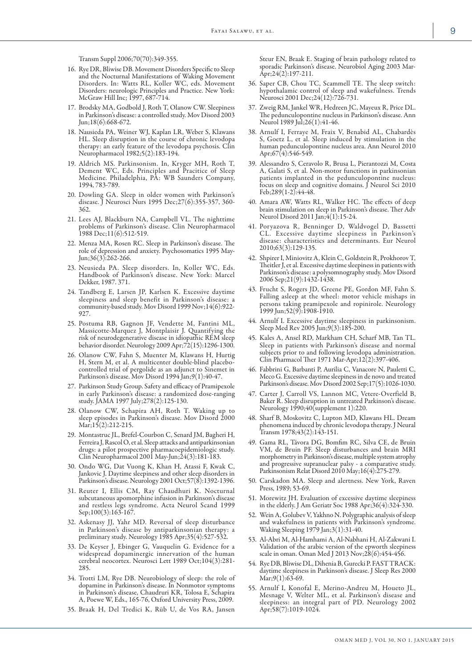Transm Suppl 2006;70(70):349-355.

- 16. Rye DR, Bliwise DB. Movement Disorders Specific to Sleep and the Nocturnal Manifestations of Waking Movement Disorders. In: Watts RL, Koller WC, eds. Movement Disorders: neurologic Principles and Practice. New York: McGraw Hill Inc; 1997, 687-714.
- 17. Brodsky MA, Godbold J, Roth T, Olanow CW. Sleepiness in Parkinson's disease: a controlled study. Mov Disord 2003 Jun;18(6):668-672.
- 18. Nausieda PA, Weiner WJ, Kaplan LR, Weber S, Klawans HL. Sleep disruption in the course of chronic levodopa therapy: an early feature of the levodopa psychosis. Clin Neuropharmacol 1982;5(2):183-194.
- 19. Aldrich MS. Parkinsonism. In, Kryger MH, Roth T, Dement WC, Eds. Principles and Pracitice of Sleep Medicine. Philadelphia, PA: WB Saunders Company, 1994, 783-789.
- 20. Dowling GA. Sleep in older women with Parkinson's disease. J Neurosci Nurs 1995 Dec;27(6):355-357, 360- 362.
- 21. Lees AJ, Blackburn NA, Campbell VL. The nighttime problems of Parkinson's disease. Clin Neuropharmacol 1988 Dec;11(6):512-519.
- 22. Menza MA, Rosen RC. Sleep in Parkinson's disease. The role of depression and anxiety. Psychosomatics 1995 May- $Jun; 36(3): 262-266.$
- 23. Neusieda PA. Sleep disorders. In, Koller WC, Eds. Handbook of Parkinson's disease. New York: Marcel Dekker, 1987. 371.
- 24. Tandberg E, Larsen JP, Karlsen K. Excessive daytime sleepiness and sleep benefit in Parkinson's disease: a community-based study. Mov Disord 1999 Nov;14(6):922- 927.
- 25. Postuma RB, Gagnon JF, Vendette M, Fantini ML, Massicotte-Marquez J, Montplaisir J. Quantifying the risk of neurodegenerative disease in idiopathic REM sleep behavior disorder. Neurology 2009 Apr;72(15):1296-1300.
- 26. Olanow CW, Fahn S, Muenter M, Klawans H, Hurtig H, Stern M, et al. A multicenter double-blind placebocontrolled trial of pergolide as an adjunct to Sinemet in Parkinson's disease. Mov Disord 1994 Jan;9(1):40-47.
- 27. Parkinson Study Group. Safety and efficacy of Pramipexole in early Parkinson's disease: a randomized dose-ranging study. JAMA 1997 July;278(2):125-130.
- 28. Olanow CW, Schapira AH, Roth T. Waking up to sleep episodes in Parkinson's disease. Mov Disord 2000 Mar;15(2):212-215.
- 29. Montastruc JL, Brefel-Courbon C, Senard JM, Bagheri H, Ferreira J, Rascol O, et al. Sleep attacks and antiparkinsonian drugs: a pilot prospective pharmacoepidemiologic study. Clin Neuropharmacol 2001 May-Jun;24(3):181-183.
- 30. Ondo WG, Dat Vuong K, Khan H, Atassi F, Kwak C, Jankovic J. Daytime sleepiness and other sleep disorders in Parkinson's disease. Neurology 2001 Oct;57(8):1392-1396.
- 31. Reuter I, Ellis CM, Ray Chaudhuri K. Nocturnal subcutaneous apomorphine infusion in Parkinson's disease and restless legs syndrome. Acta Neurol Scand 1999 Sep;100(3):163-167.
- 32. Askenasy JJ, Yahr MD. Reversal of sleep disturbance in Parkinson's disease by antiparkinsonian therapy: a preliminary study. Neurology 1985 Apr;35(4):527-532.
- 33. De Keyser J, Ebinger G, Vauquelin G. Evidence for a widespread dopaminergic innervation of the human cerebral neocortex. Neurosci Lett 1989 Oct;104(3):281- 285.
- 34. Trotti LM, Rye DB. Neurobiology of sleep: the role of dopamine in Parkinson's disease. In Nonmotor symptoms in Parkinson's disease, Chaudruri KR, Tolosa E, Schapira A, Poewe W, Eds., 165-76, Oxford University Press, 2009.
- 35. Braak H, Del Tredici K, Rüb U, de Vos RA, Jansen

Steur EN, Braak E. Staging of brain pathology related to sporadic Parkinson's disease. Neurobiol Aging 2003 Mar- $\text{Åpr};24(2):197-211.$ 

- 36. Saper CB, Chou TC, Scammell TE. The sleep switch: hypothalamic control of sleep and wakefulness. Trends Neurosci 2001 Dec;24(12):726-731.
- 37. Zweig RM, Jankel WR, Hedreen JC, Mayeux R, Price DL. The pedunculopontine nucleus in Parkinson's disease. Ann Neurol 1989 Jul;26(1):41-46.
- Arnulf I, Ferraye M, Fraix V, Benabid AL, Chabardès S, Goetz L, et al. Sleep induced by stimulation in the human pedunculopontine nucleus area. Ann Neurol 2010 Apr; $67(4)$ :546-549.
- 39. Alessandro S, Ceravolo R, Brusa L, Pierantozzi M, Costa A, Galati S, et al. Non-motor functions in parkinsonian patients implanted in the pedunculopontine nucleus: focus on sleep and cognitive domains. J Neurol Sci 2010 Feb;289(1-2):44-48.
- 40. Amara AW, Watts RL, Walker HC. The effects of deep brain stimulation on sleep in Parkinson's disease. Ther Adv Neurol Disord 2011 Jan;4(1):15-24.
- 41. Poryazova R, Benninger D, Waldvogel D, Bassetti CL. Excessive daytime sleepiness in Parkinson's disease: characteristics and determinants. Eur Neurol 2010;63(3):129-135.
- 42. Shpirer I, Miniovitz A, Klein C, Goldstein R, Prokhorov T, Theitler J, et al. Excessive daytime sleepiness in patients with Parkinson's disease: a polysomnography study. Mov Disord 2006 Sep;21(9):1432-1438.
- 43. Frucht S, Rogers JD, Greene PE, Gordon MF, Fahn S. Falling asleep at the wheel: motor vehicle mishaps in persons taking pramipexole and ropinirole. Neurology 1999 Jun;52(9):1908-1910.
- 44. Arnulf I. Excessive daytime sleepiness in parkinsonism. Sleep Med Rev 2005 Jun;9(3):185-200.
- 45. Kales A, Ansel RD, Markham CH, Scharf MB, Tan TL. Sleep in patients with Parkinson's disease and normal subjects prior to and following levodopa administration. Clin Pharmacol Ther 1971 Mar-Apr;12(2):397-406.
- 46. Fabbrini G, Barbanti P, Aurilia C, Vanacore N, Pauletti C, Meco G. Excessive daytime sleepiness in de novo and treated Parkinson's disease. Mov Disord 2002 Sep;17(5):1026-1030.
- 47. Carter J, Carroll VS, Lannon MC, Vetere-Overfield B, Baker R. Sleep disruption in untreated Parkinson's disease. Neurology 1990;40(supplement 1):220.
- 48. Sharf B, Moskovitz C, Lupton MD, Klawans HL. Dream phenomena induced by chronic levodopa therapy. J Neural Transm 1978;43(2):143-151.
- 49. Gama RL, Távora DG, Bomfim RC, Silva CE, de Bruin VM, de Bruin PF. Sleep disturbances and brain MRI morphometry in Parkinson's disease, multiple system atrophy and progressive supranuclear palsy - a comparative study. Parkinsonism Relat Disord 2010 May;16(4):275-279.
- 50. Carskadon MA. Sleep and alertness. New York, Raven Press, 1989; 53-69.
- 51. Morewitz JH. Evaluation of excessive daytime sleepiness in the elderly. J Am Geriatr Soc 1988 Apr;36(4):324-330.
- 52. Wein A, Golubev V, Yakhno N. Polygraphic analysis of sleep and wakefulness in patients with Parkinson's syndrome. Waking Sleeping 1979 Jan;3(1):31-40.
- 53. Al-Abri M, Al-Hamhami A, Al-Nabhani H, Al-Zakwani I. Validation of the arabic version of the epworth sleepiness scale in oman. Oman Med J 2013 Nov;28(6):454-456.
- 54. Rye DB, Bliwise DL, Dihenia B, Gurecki P. FAST TRACK: daytime sleepiness in Parkinson's disease. J Sleep Res 2000 Mar;9(1):63-69.
- 55. Arnulf I, Konofal E, Merino-Andreu M, Houeto JL, Mesnage V, Welter ML, et al. Parkinson's disease and sleepiness: an integral part of PD. Neurology 2002 Apr;58(7):1019-1024.